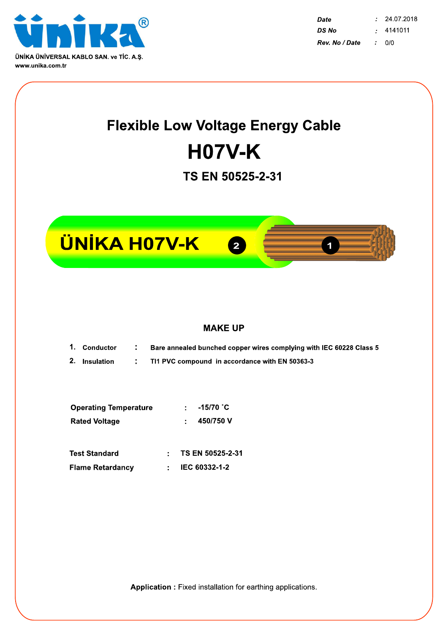

**Date**  $\mathbf{r}$ 24.07.2018 4141011 DS No  $\mathcal{I}$ Rev. No / Date  $0/0$  $\mathcal{L}$ 

## **Flexible Low Voltage Energy Cable H07V-K**

TS EN 50525-2-31







## **MAKE UP**

- 1. Conductor Bare annealed bunched copper wires complying with IEC 60228 Class 5 ÷
- 2. Insulation  $\ddot{\phantom{a}}$ TI1 PVC compound in accordance with EN 50363-3

| <b>Operating Temperature</b> | $-15/70$ °C |
|------------------------------|-------------|
| <b>Rated Voltage</b>         | 450/750 V   |

| Test Standard    | TS EN 50525-2-31           |
|------------------|----------------------------|
| Flame Retardancy | $\therefore$ IEC 60332-1-2 |

Application : Fixed installation for earthing applications.